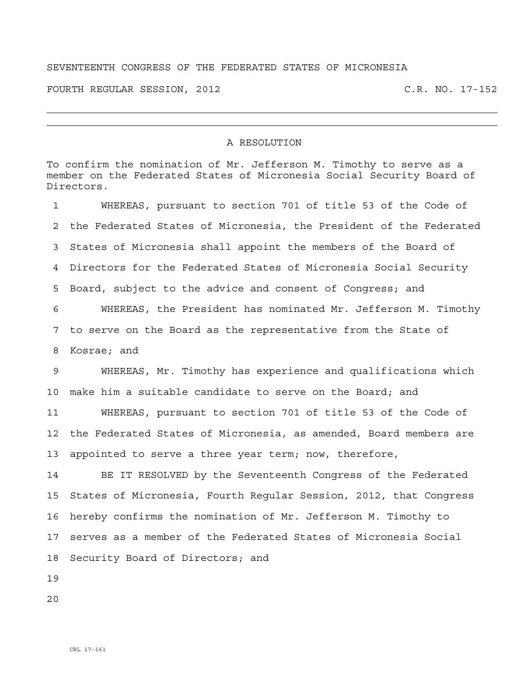## SEVENTEENTH CONGRESS OF THE FEDERATED STATES OF MICRONESIA

FOURTH REGULAR SESSION, 2012 C.R. NO. 17-152

## A RESOLUTION

To confirm the nomination of Mr. Jefferson M. Timothy to serve as a member on the Federated States of Micronesia Social Security Board of Directors.

1 WHEREAS, pursuant to section 701 of title 53 of the Code of 2 the Federated States of Micronesia, the President of the Federated 3 States of Micronesia shall appoint the members of the Board of 4 Directors for the Federated States of Micronesia Social Security 5 Board, subject to the advice and consent of Congress; and 6 WHEREAS, the President has nominated Mr. Jefferson M. Timothy 7 to serve on the Board as the representative from the State of 8 Kosrae; and 9 WHEREAS, Mr. Timothy has experience and qualifications which 10 make him a suitable candidate to serve on the Board; and 11 WHEREAS, pursuant to section 701 of title 53 of the Code of 12 the Federated States of Micronesia, as amended, Board members are 13 appointed to serve a three year term; now, therefore, 14 BE IT RESOLVED by the Seventeenth Congress of the Federated 15 States of Micronesia, Fourth Regular Session, 2012, that Congress 16 hereby confirms the nomination of Mr. Jefferson M. Timothy to 17 serves as a member of the Federated States of Micronesia Social 18 Security Board of Directors; and

19

20